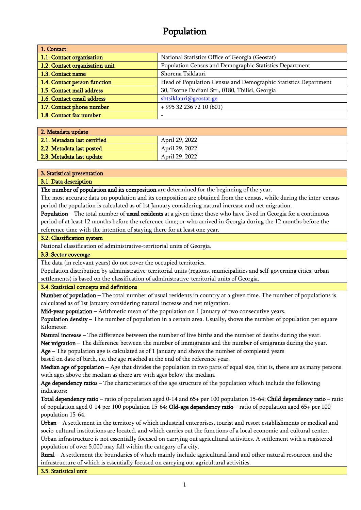# Population

| 1. Contact                     |                                                                 |  |
|--------------------------------|-----------------------------------------------------------------|--|
| 1.1. Contact organisation      | National Statistics Office of Georgia (Geostat)                 |  |
| 1.2. Contact organisation unit | Population Census and Demographic Statistics Department         |  |
| 1.3. Contact name              | Shorena Tsiklauri                                               |  |
| 1.4. Contact person function   | Head of Population Census and Demographic Statistics Department |  |
| 1.5. Contact mail address      | 30, Tsotne Dadiani Str., 0180, Tbilisi, Georgia                 |  |
| 1.6. Contact email address     | shtsiklauri@geostat.ge                                          |  |
| 1.7. Contact phone number      | $+995322367210(601)$                                            |  |
| 1.8. Contact fax number        |                                                                 |  |

| 2. Metadata update           |                |  |
|------------------------------|----------------|--|
| 2.1. Metadata last certified | April 29, 2022 |  |
| 2.2. Metadata last posted    | April 29, 2022 |  |
| 2.3. Metadata last update    | April 29, 2022 |  |

#### 3. Statistical presentation

## 3.1. Data description

The number of population and its composition are determined for the beginning of the year.

The most accurate data on population and its composition are obtained from the census, while during the inter-census period the population is calculated as of 1st January considering natural increase and net migration.

Population – The total number of usual residents at a given time: those who have lived in Georgia for a continuous period of at least 12 months before the reference time; or who arrived in Georgia during the 12 months before the reference time with the intention of staying there for at least one year.

#### 3.2. Classification system

National classification of administrative-territorial units of Georgia.

## 3.3. Sector coverage

The data (in relevant years) do not cover the occupied territories.

Population distribution by administrative-territorial units (regions, municipalities and self-governing cities, urban settlements) is based on the classification of administrative-territorial units of Georgia.

#### 3.4. Statistical concepts and definitions

Number of population – The total number of usual residents in country at a given time. The number of populations is calculated as of 1st January considering natural increase and net migration.

Mid-year population – Arithmetic mean of the population on 1 January of two consecutive years.

Population density – The number of population in a certain area. Usually, shows the number of population per square Kilometer.

Natural increase – The difference between the number of live births and the number of deaths during the year.

Net migration – The difference between the number of immigrants and the number of emigrants during the year.

 $Age - The population age is calculated as of 1 January and shows the number of completed years$ 

based on date of birth, i.e. the age reached at the end of the reference year.

Median age of population – Age that divides the population in two parts of equal size, that is, there are as many persons with ages above the median as there are with ages below the median.

Age dependency ratios – The characteristics of the age structure of the population which include the following indicators:

Total dependency ratio – ratio of population aged 0-14 and 65+ per 100 population 15-64; Child dependency ratio – ratio of population aged 0-14 per 100 population 15-64; Old-age dependency ratio – ratio of population aged 65+ per 100 population 15-64.

Urban  $-A$  settlement in the territory of which industrial enterprises, tourist and resort establishments or medical and socio-cultural institutions are located, and which carries out the functions of a local economic and cultural center. Urban infrastructure is not essentially focused on carrying out agricultural activities. A settlement with a registered population of over 5,000 may fall within the category of a city.

Rural – A settlement the boundaries of which mainly include agricultural land and other natural resources, and the infrastructure of which is essentially focused on carrying out agricultural activities.

3.5. Statistical unit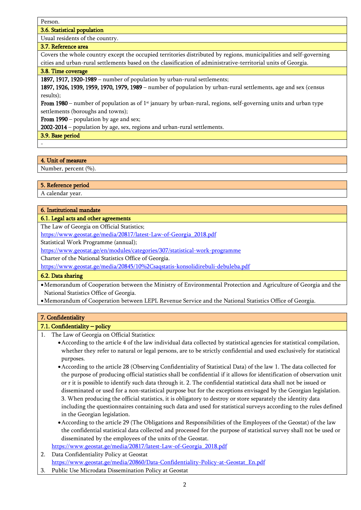Person.

## 3.6. Statistical population

Usual residents of the country.

## 3.7. Reference area

Covers the whole country except the occupied territories distributed by regions, municipalities and self-governing cities and urban-rural settlements based on the classification of administrative-territorial units of Georgia.

## 3.8. Time coverage

1897, 1917, 1920-1989 – number of population by urban-rural settlements;

1897, 1926, 1939, 1959, 1970, 1979, 1989 – number of population by urban-rural settlements, age and sex (census results);

From 1980 – number of population as of  $1<sup>st</sup>$  january by urban-rural, regions, self-governing units and urban type settlements (boroughs and towns);

From 1990 – population by age and sex;

2002-2014 – population by age, sex, regions and urban-rural settlements.

3.9. Base period

-

## 4. Unit of measure

Number, percent (%).

## 5. Reference period

A calendar year.

## 6. Institutional mandate

## 6.1. Legal acts and other agreements

The Law of Georgia on Official Statistics;

[https://www.geostat.ge/media/20817/latest-Law-of-Georgia\\_2018.pdf](https://www.geostat.ge/media/20817/latest-Law-of-Georgia_2018.pdf)

Statistical Work Programme (annual);

<https://www.geostat.ge/en/modules/categories/307/statistical-work-programme>

Charter of the National Statistics Office of Georgia.

https://www.geostat.ge/media/20845/10%2Csaqstatis-konsolidirebuli-debuleba.pdf

## 6.2. Data sharing

•Memorandum of Cooperation between the Ministry of Environmental Protection and Agriculture of Georgia and the National Statistics Office of Georgia.

•Memorandum of Cooperation between LEPL Revenue Service and the National Statistics Office of Georgia.

## 7. Confidentiality

## 7.1. Confidentiality – policy

- 1. The Law of Georgia on Official Statistics:
	- •According to the article 4 of the law individual data collected by statistical agencies for statistical compilation, whether they refer to natural or legal persons, are to be strictly confidential and used exclusively for statistical purposes.
	- •According to the article 28 (Observing Confidentiality of Statistical Data) of the law 1. The data collected for the purpose of producing official statistics shall be confidential if it allows for identification of observation unit or r it is possible to identify such data through it. 2. The confidential statistical data shall not be issued or disseminated or used for a non-statistical purpose but for the exceptions envisaged by the Georgian legislation. 3. When producing the official statistics, it is obligatory to destroy or store separately the identity data including the questionnaires containing such data and used for statistical surveys according to the rules defined in the Georgian legislation.
	- •According to the article 29 (The Obligations and Responsibilities of the Employees of the Geostat) of the law the confidential statistical data collected and processed for the purpose of statistical survey shall not be used or disseminated by the employees of the units of the Geostat.
	- [https://www.geostat.ge/media/20817/latest-Law-of-Georgia\\_2018.pdf](https://www.geostat.ge/media/20817/latest-Law-of-Georgia_2018.pdf)
- 2. Data Confidentiality Policy at Geostat

[https://www.geostat.ge/media/20860/Data-Confidentiality-Policy-at-Geostat\\_En.pdf](https://www.geostat.ge/media/20860/Data-Confidentiality-Policy-at-Geostat_En.pdf)

3. Public Use Microdata Dissemination Policy at Geostat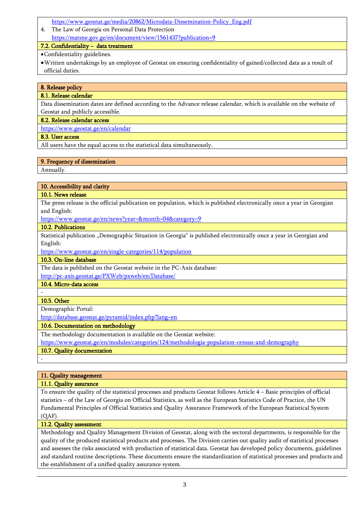- [https://www.geostat.ge/media/20862/Microdata-Dissemination-Policy\\_Eng.pdf](https://www.geostat.ge/media/20862/Microdata-Dissemination-Policy_Eng.pdf)
- 4. The Law of Georgia on Personal Data Protection https://matsne.gov.ge/en/document/view/1561437?publication=9

## 7.2. Confidentiality – data treatment

•Confidentiality guidelines.

•Written undertakings by an employee of Geostat on ensuring confidentiality of gained/collected data as a result of official duties.

## 8. Release policy

## 8.1. Release calendar

Data dissemination dates are defined according to the Advance release calendar, which is available on the website of Geostat and publicly accessible.

## 8.2. Release calendar access

<https://www.geostat.ge/en/calendar>

## 8.3. User access

All users have the equal access to the statistical data simultaneously.

## 9. Frequency of dissemination

Annually.

## 10. Accessibility and clarity

## 10.1. News release

The press release is the official publication on population, which is published electronically once a year in Georgian and English:

<https://www.geostat.ge/en/news?year=&month=04&category=9>

## 10.2. Publications

Statistical publication "Demographic Situation in Georgia" is published electronically once a year in Georgian and English:

<https://www.geostat.ge/en/single-categories/114/population>

## 10.3. On-line database

The data is published on the Geostat website in the PC-Axis database:

<http://pc-axis.geostat.ge/PXWeb/pxweb/en/Database/>

## 10.4. Micro-data access

#### - 10.5. Other

Demographic Portal:

http://database.geostat.ge/pyramid/index.php?lang=en

## 10.6. Documentation on methodology

The methodology documentation is available on the Geostat website:

<https://www.geostat.ge/en/modules/categories/124/methodologia-population-census-and-demography>

## 10.7. Quality documentation

-

## 11. Quality management

11.1. Quality assurance

To ensure the quality of the statistical processes and products Geostat follows Article 4 – Basic principles of official statistics – of the Law of Georgia on Official Statistics, as well as the European Statistics Code of Practice, the UN Fundamental Principles of Official Statistics and Quality Assurance Framework of the European Statistical System (QAF).

## 11.2. Quality assessment

Methodology and Quality Management Division of Geostat, along with the sectoral departments, is responsible for the quality of the produced statistical products and processes. The Division carries out quality audit of statistical processes and assesses the risks associated with production of statistical data. Geostat has developed policy documents, guidelines and standard routine descriptions. These documents ensure the standardization of statistical processes and products and the establishment of a unified quality assurance system.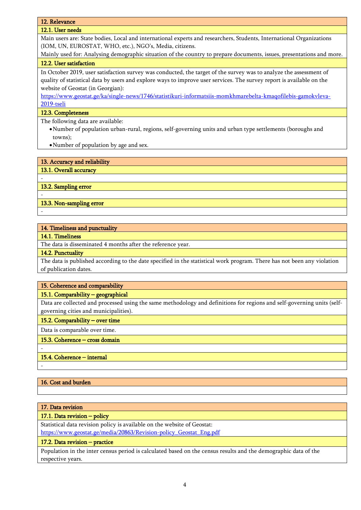## 12. Relevance

## 12.1. User needs

Main users are: State bodies, Local and international experts and researchers, Students, International Organizations (IOM, UN, EUROSTAT, WHO, etc.), NGO's, Media, citizens.

Mainly used for: Analysing demographic situation of the country to prepare documents, issues, presentations and more. 12.2. User satisfaction

In October 2019, user satisfaction survey was conducted, the target of the survey was to analyze the assessment of quality of statistical data by users and explore ways to improve user services. The survey report is available on the website of Geostat (in Georgian):

[https://www.geostat.ge/ka/single-news/1746/statistikuri-informatsiis-momkhmarebelta-kmaqofilebis-gamokvleva-](https://www.geostat.ge/ka/single-news/1746/statistikuri-informatsiis-momkhmarebelta-kmaqofilebis-gamokvleva-2019-tseli)[2019-tseli](https://www.geostat.ge/ka/single-news/1746/statistikuri-informatsiis-momkhmarebelta-kmaqofilebis-gamokvleva-2019-tseli)

## 12.3. Completeness

The following data are available:

- •Number of population urban-rural, regions, self-governing units and urban type settlements (boroughs and towns);
- •Number of population by age and sex.

13. Accuracy and reliability

13.1. Overall accuracy

13.2. Sampling error

-

-

-

-

-

13.3. Non-sampling error

|  |  |  | 14. Timeliness and punctuality |
|--|--|--|--------------------------------|
|--|--|--|--------------------------------|

## 14.1. Timeliness

The data is disseminated 4 months after the reference year.

## 14.2. Punctuality

The data is published according to the date specified in the statistical work program. There has not been any violation of publication dates.

## 15. Coherence and comparability

## 15.1. Comparability – geographical

Data are collected and processed using the same methodology and definitions for regions and self-governing units (selfgoverning cities and municipalities).

#### 15.2. Comparability – over time

Data is comparable over time.

#### 15.3. Coherence – cross domain

## 15.4. Coherence – internal

## 16. Cost and burden

#### 17. Data revision

#### 17.1. Data revision – policy

Statistical data revision policy is available on the website of Geostat: [https://www.geostat.ge/media/20863/Revision-policy\\_Geostat\\_Eng.pdf](https://www.geostat.ge/media/20863/Revision-policy_Geostat_Eng.pdf)

#### 17.2. Data revision – practice

Population in the inter census period is calculated based on the census results and the demographic data of the respective years.